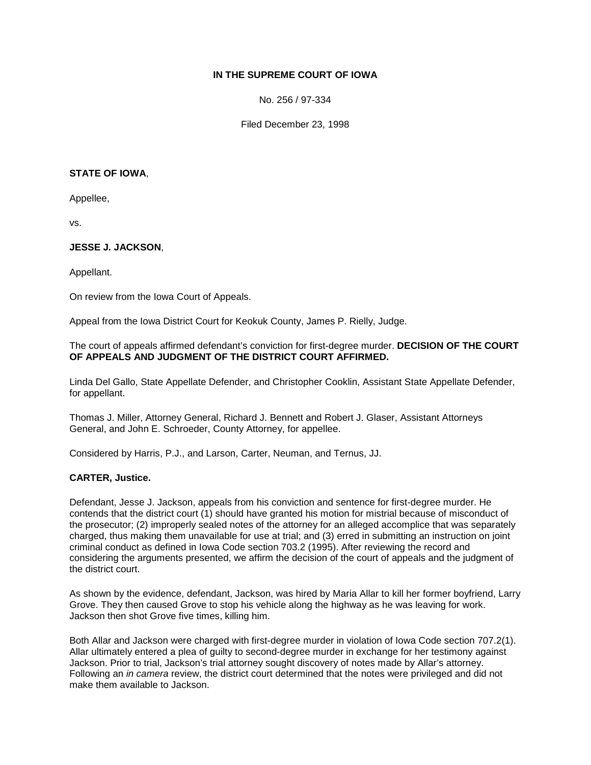# **IN THE SUPREME COURT OF IOWA**

No. 256 / 97-334

Filed December 23, 1998

#### **STATE OF IOWA**,

Appellee,

vs.

### **JESSE J. JACKSON**,

Appellant.

On review from the Iowa Court of Appeals.

Appeal from the Iowa District Court for Keokuk County, James P. Rielly, Judge.

### The court of appeals affirmed defendant's conviction for first-degree murder. **DECISION OF THE COURT OF APPEALS AND JUDGMENT OF THE DISTRICT COURT AFFIRMED.**

Linda Del Gallo, State Appellate Defender, and Christopher Cooklin, Assistant State Appellate Defender, for appellant.

Thomas J. Miller, Attorney General, Richard J. Bennett and Robert J. Glaser, Assistant Attorneys General, and John E. Schroeder, County Attorney, for appellee.

Considered by Harris, P.J., and Larson, Carter, Neuman, and Ternus, JJ.

### **CARTER, Justice.**

Defendant, Jesse J. Jackson, appeals from his conviction and sentence for first-degree murder. He contends that the district court (1) should have granted his motion for mistrial because of misconduct of the prosecutor; (2) improperly sealed notes of the attorney for an alleged accomplice that was separately charged, thus making them unavailable for use at trial; and (3) erred in submitting an instruction on joint criminal conduct as defined in Iowa Code section 703.2 (1995). After reviewing the record and considering the arguments presented, we affirm the decision of the court of appeals and the judgment of the district court.

As shown by the evidence, defendant, Jackson, was hired by Maria Allar to kill her former boyfriend, Larry Grove. They then caused Grove to stop his vehicle along the highway as he was leaving for work. Jackson then shot Grove five times, killing him.

Both Allar and Jackson were charged with first-degree murder in violation of Iowa Code section 707.2(1). Allar ultimately entered a plea of guilty to second-degree murder in exchange for her testimony against Jackson. Prior to trial, Jackson's trial attorney sought discovery of notes made by Allar's attorney. Following an *in camera* review, the district court determined that the notes were privileged and did not make them available to Jackson.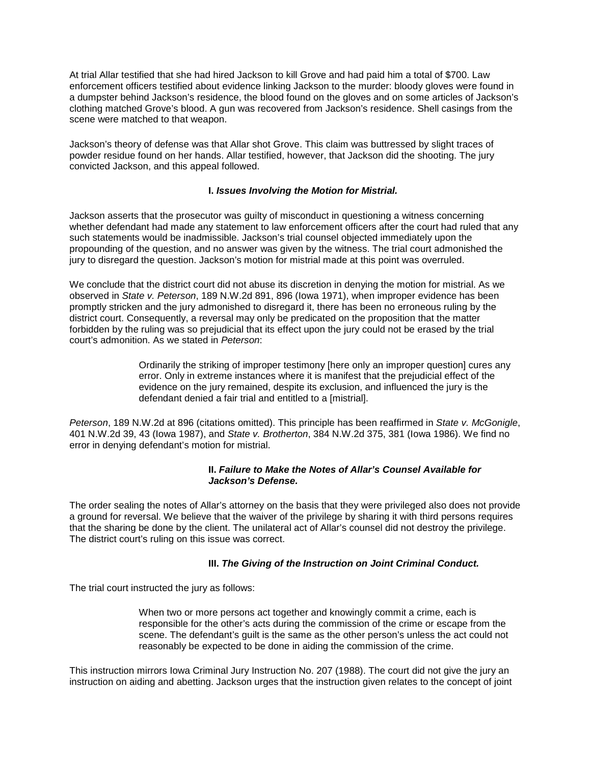At trial Allar testified that she had hired Jackson to kill Grove and had paid him a total of \$700. Law enforcement officers testified about evidence linking Jackson to the murder: bloody gloves were found in a dumpster behind Jackson's residence, the blood found on the gloves and on some articles of Jackson's clothing matched Grove's blood. A gun was recovered from Jackson's residence. Shell casings from the scene were matched to that weapon.

Jackson's theory of defense was that Allar shot Grove. This claim was buttressed by slight traces of powder residue found on her hands. Allar testified, however, that Jackson did the shooting. The jury convicted Jackson, and this appeal followed.

### **I.** *Issues Involving the Motion for Mistrial.*

Jackson asserts that the prosecutor was guilty of misconduct in questioning a witness concerning whether defendant had made any statement to law enforcement officers after the court had ruled that any such statements would be inadmissible. Jackson's trial counsel objected immediately upon the propounding of the question, and no answer was given by the witness. The trial court admonished the jury to disregard the question. Jackson's motion for mistrial made at this point was overruled.

We conclude that the district court did not abuse its discretion in denying the motion for mistrial. As we observed in *State v. Peterson*, 189 N.W.2d 891, 896 (Iowa 1971), when improper evidence has been promptly stricken and the jury admonished to disregard it, there has been no erroneous ruling by the district court. Consequently, a reversal may only be predicated on the proposition that the matter forbidden by the ruling was so prejudicial that its effect upon the jury could not be erased by the trial court's admonition. As we stated in *Peterson*:

> Ordinarily the striking of improper testimony [here only an improper question] cures any error. Only in extreme instances where it is manifest that the prejudicial effect of the evidence on the jury remained, despite its exclusion, and influenced the jury is the defendant denied a fair trial and entitled to a [mistrial].

*Peterson*, 189 N.W.2d at 896 (citations omitted). This principle has been reaffirmed in *State v. McGonigle*, 401 N.W.2d 39, 43 (Iowa 1987), and *State v. Brotherton*, 384 N.W.2d 375, 381 (Iowa 1986). We find no error in denying defendant's motion for mistrial.

### **II.** *Failure to Make the Notes of Allar's Counsel Available for Jackson's Defense.*

The order sealing the notes of Allar's attorney on the basis that they were privileged also does not provide a ground for reversal. We believe that the waiver of the privilege by sharing it with third persons requires that the sharing be done by the client. The unilateral act of Allar's counsel did not destroy the privilege. The district court's ruling on this issue was correct.

# **III.** *The Giving of the Instruction on Joint Criminal Conduct.*

The trial court instructed the jury as follows:

When two or more persons act together and knowingly commit a crime, each is responsible for the other's acts during the commission of the crime or escape from the scene. The defendant's guilt is the same as the other person's unless the act could not reasonably be expected to be done in aiding the commission of the crime.

This instruction mirrors Iowa Criminal Jury Instruction No. 207 (1988). The court did not give the jury an instruction on aiding and abetting. Jackson urges that the instruction given relates to the concept of joint